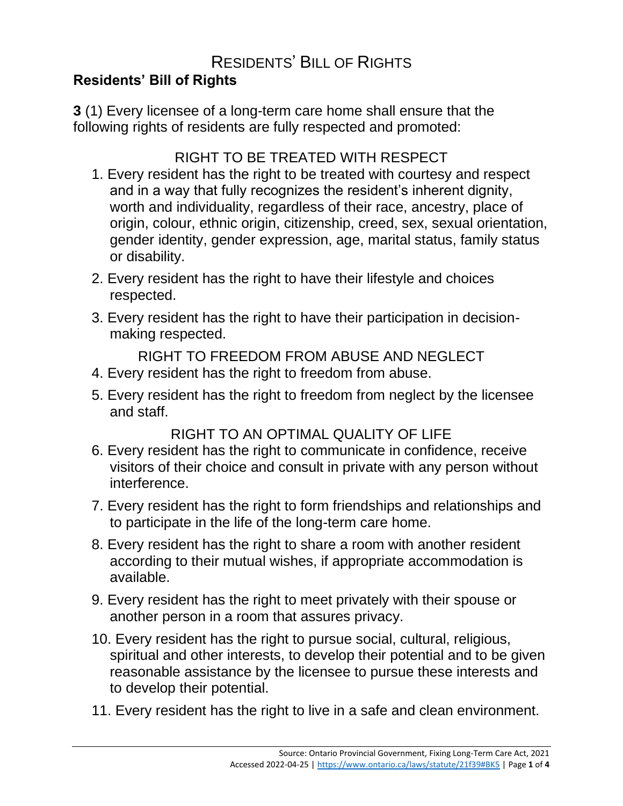## RESIDENTS' BILL OF RIGHTS

## **Residents' Bill of Rights**

**3** (1) Every licensee of a long-term care home shall ensure that the following rights of residents are fully respected and promoted:

## RIGHT TO BE TREATED WITH RESPECT

- 1. Every resident has the right to be treated with courtesy and respect and in a way that fully recognizes the resident's inherent dignity, worth and individuality, regardless of their race, ancestry, place of origin, colour, ethnic origin, citizenship, creed, sex, sexual orientation, gender identity, gender expression, age, marital status, family status or disability.
- 2. Every resident has the right to have their lifestyle and choices respected.
- 3. Every resident has the right to have their participation in decisionmaking respected.

RIGHT TO FREEDOM FROM ABUSE AND NEGLECT

- 4. Every resident has the right to freedom from abuse.
- 5. Every resident has the right to freedom from neglect by the licensee and staff.

RIGHT TO AN OPTIMAL QUALITY OF LIFE

- 6. Every resident has the right to communicate in confidence, receive visitors of their choice and consult in private with any person without interference.
- 7. Every resident has the right to form friendships and relationships and to participate in the life of the long-term care home.
- 8. Every resident has the right to share a room with another resident according to their mutual wishes, if appropriate accommodation is available.
- 9. Every resident has the right to meet privately with their spouse or another person in a room that assures privacy.
- 10. Every resident has the right to pursue social, cultural, religious, spiritual and other interests, to develop their potential and to be given reasonable assistance by the licensee to pursue these interests and to develop their potential.
- 11. Every resident has the right to live in a safe and clean environment.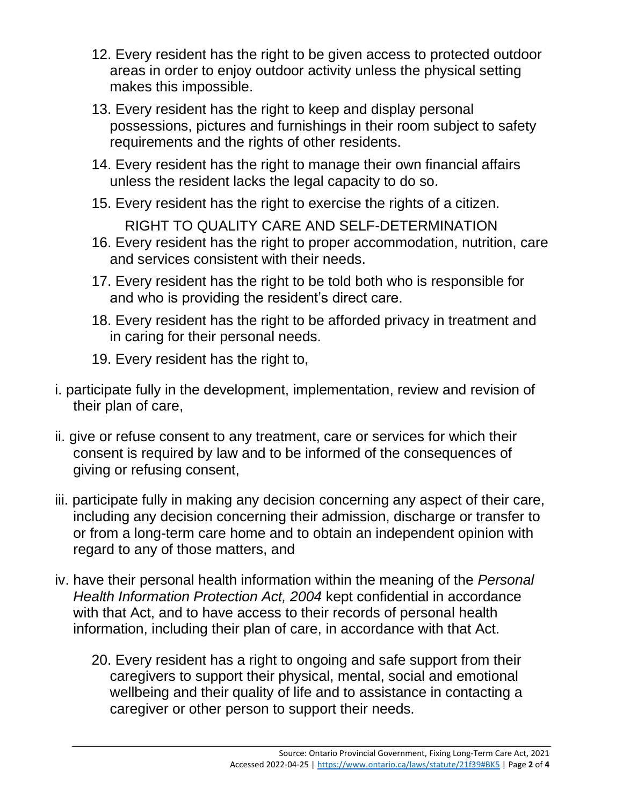- 12. Every resident has the right to be given access to protected outdoor areas in order to enjoy outdoor activity unless the physical setting makes this impossible.
- 13. Every resident has the right to keep and display personal possessions, pictures and furnishings in their room subject to safety requirements and the rights of other residents.
- 14. Every resident has the right to manage their own financial affairs unless the resident lacks the legal capacity to do so.
- 15. Every resident has the right to exercise the rights of a citizen.
- RIGHT TO QUALITY CARE AND SELF-DETERMINATION 16. Every resident has the right to proper accommodation, nutrition, care and services consistent with their needs.
- 17. Every resident has the right to be told both who is responsible for and who is providing the resident's direct care.
- 18. Every resident has the right to be afforded privacy in treatment and in caring for their personal needs.
- 19. Every resident has the right to,
- i. participate fully in the development, implementation, review and revision of their plan of care,
- ii. give or refuse consent to any treatment, care or services for which their consent is required by law and to be informed of the consequences of giving or refusing consent,
- iii. participate fully in making any decision concerning any aspect of their care, including any decision concerning their admission, discharge or transfer to or from a long-term care home and to obtain an independent opinion with regard to any of those matters, and
- iv. have their personal health information within the meaning of the *Personal Health Information Protection Act, 2004* kept confidential in accordance with that Act, and to have access to their records of personal health information, including their plan of care, in accordance with that Act.
	- 20. Every resident has a right to ongoing and safe support from their caregivers to support their physical, mental, social and emotional wellbeing and their quality of life and to assistance in contacting a caregiver or other person to support their needs.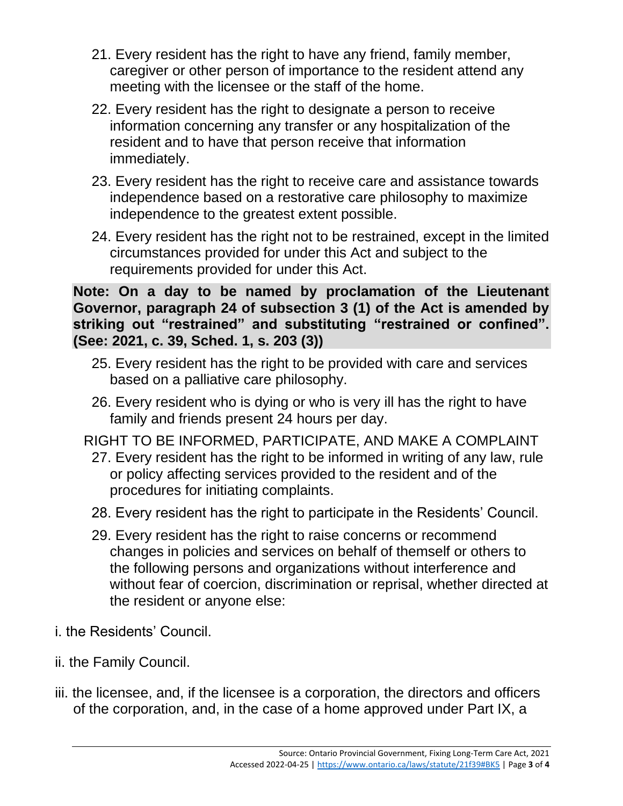- 21. Every resident has the right to have any friend, family member, caregiver or other person of importance to the resident attend any meeting with the licensee or the staff of the home.
- 22. Every resident has the right to designate a person to receive information concerning any transfer or any hospitalization of the resident and to have that person receive that information immediately.
- 23. Every resident has the right to receive care and assistance towards independence based on a restorative care philosophy to maximize independence to the greatest extent possible.
- 24. Every resident has the right not to be restrained, except in the limited circumstances provided for under this Act and subject to the requirements provided for under this Act.

**Note: On a day to be named by proclamation of the Lieutenant Governor, paragraph 24 of subsection 3 (1) of the Act is amended by striking out "restrained" and substituting "restrained or confined". (See: 2021, c. 39, Sched. 1, s. 203 (3))**

- 25. Every resident has the right to be provided with care and services based on a palliative care philosophy.
- 26. Every resident who is dying or who is very ill has the right to have family and friends present 24 hours per day.
- RIGHT TO BE INFORMED, PARTICIPATE, AND MAKE A COMPLAINT
	- 27. Every resident has the right to be informed in writing of any law, rule or policy affecting services provided to the resident and of the procedures for initiating complaints.
	- 28. Every resident has the right to participate in the Residents' Council.
	- 29. Every resident has the right to raise concerns or recommend changes in policies and services on behalf of themself or others to the following persons and organizations without interference and without fear of coercion, discrimination or reprisal, whether directed at the resident or anyone else:
- i. the Residents' Council.
- ii. the Family Council.
- iii. the licensee, and, if the licensee is a corporation, the directors and officers of the corporation, and, in the case of a home approved under Part IX, a